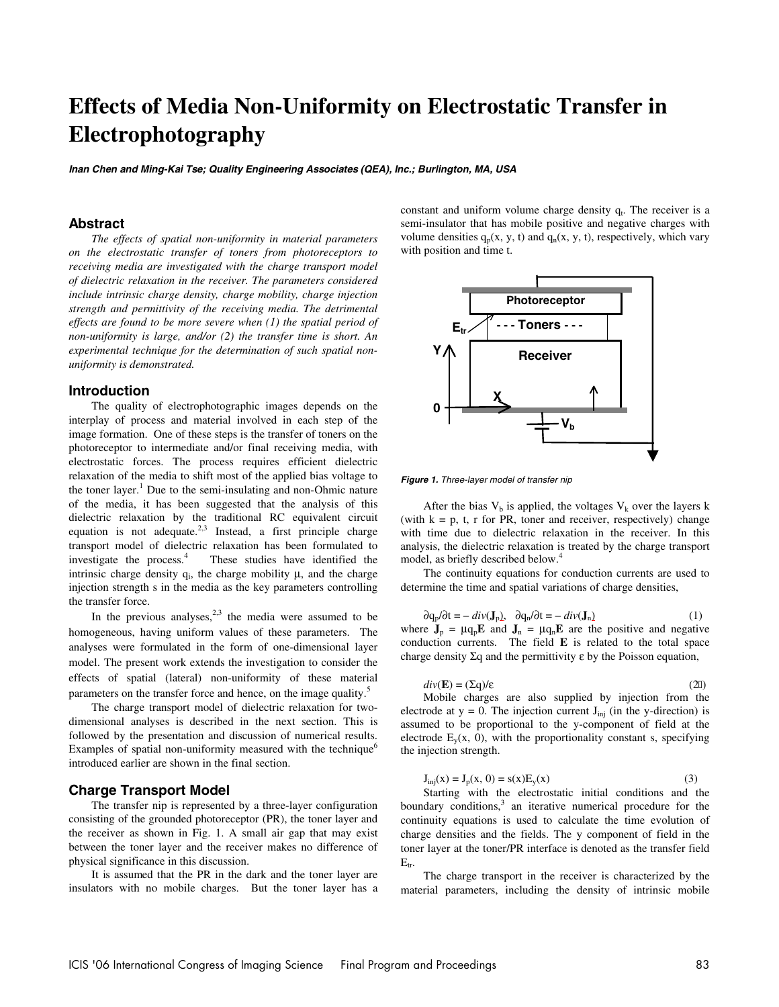# **Effects of Media Non-Uniformity on Electrostatic Transfer in Electrophotography**

**Inan Chen and Ming-Kai Tse; Quality Engineering Associates (QEA), Inc.; Burlington, MA, USA** 

## **Abstract**

*The effects of spatial non-uniformity in material parameters on the electrostatic transfer of toners from photoreceptors to receiving media are investigated with the charge transport model of dielectric relaxation in the receiver. The parameters considered include intrinsic charge density, charge mobility, charge injection strength and permittivity of the receiving media. The detrimental effects are found to be more severe when (1) the spatial period of non-uniformity is large, and/or (2) the transfer time is short. An experimental technique for the determination of such spatial nonuniformity is demonstrated.* 

## **Introduction**

The quality of electrophotographic images depends on the interplay of process and material involved in each step of the image formation. One of these steps is the transfer of toners on the photoreceptor to intermediate and/or final receiving media, with electrostatic forces. The process requires efficient dielectric relaxation of the media to shift most of the applied bias voltage to the toner layer.<sup>1</sup> Due to the semi-insulating and non-Ohmic nature of the media, it has been suggested that the analysis of this dielectric relaxation by the traditional RC equivalent circuit equation is not adequate. $2,3$  Instead, a first principle charge transport model of dielectric relaxation has been formulated to investigate the process.<sup>4</sup> These studies have identified the intrinsic charge density  $q_i$ , the charge mobility  $\mu$ , and the charge injection strength s in the media as the key parameters controlling the transfer force.

In the previous analyses,  $2,3$  the media were assumed to be homogeneous, having uniform values of these parameters. The analyses were formulated in the form of one-dimensional layer model. The present work extends the investigation to consider the effects of spatial (lateral) non-uniformity of these material parameters on the transfer force and hence, on the image quality.<sup>5</sup>

The charge transport model of dielectric relaxation for twodimensional analyses is described in the next section. This is followed by the presentation and discussion of numerical results. Examples of spatial non-uniformity measured with the technique $<sup>6</sup>$ </sup> introduced earlier are shown in the final section.

## **Charge Transport Model**

The transfer nip is represented by a three-layer configuration consisting of the grounded photoreceptor (PR), the toner layer and the receiver as shown in Fig. 1. A small air gap that may exist between the toner layer and the receiver makes no difference of physical significance in this discussion.

 It is assumed that the PR in the dark and the toner layer are insulators with no mobile charges. But the toner layer has a constant and uniform volume charge density  $q_t$ . The receiver is a semi-insulator that has mobile positive and negative charges with volume densities  $q_p(x, y, t)$  and  $q_n(x, y, t)$ , respectively, which vary with position and time t.



**Figure 1.** Three-layer model of transfer nip

After the bias  $V_b$  is applied, the voltages  $V_k$  over the layers k (with  $k = p$ , t, r for PR, toner and receiver, respectively) change with time due to dielectric relaxation in the receiver. In this analysis, the dielectric relaxation is treated by the charge transport model, as briefly described below.<sup>4</sup>

The continuity equations for conduction currents are used to determine the time and spatial variations of charge densities,

$$
\partial q_p / \partial t = - \operatorname{div}(\mathbf{J}_p), \quad \partial q_n / \partial t = - \operatorname{div}(\mathbf{J}_n) \tag{1}
$$

where  $J_p = \mu q_p E$  and  $J_n = \mu q_n E$  are the positive and negative conduction currents. The field **E** is related to the total space charge density  $\Sigma q$  and the permittivity  $\varepsilon$  by the Poisson equation,

$$
div(\mathbf{E}) = (\Sigma \mathbf{q})/\varepsilon \tag{2}
$$

 Mobile charges are also supplied by injection from the electrode at  $y = 0$ . The injection current  $J_{ini}$  (in the y-direction) is assumed to be proportional to the y-component of field at the electrode  $E_y(x, 0)$ , with the proportionality constant s, specifying the injection strength.

$$
J_{\rm inj}(x) = J_{\rm p}(x, 0) = s(x) E_{\rm y}(x)
$$
\n(3)

Starting with the electrostatic initial conditions and the boundary conditions,<sup>3</sup> an iterative numerical procedure for the continuity equations is used to calculate the time evolution of charge densities and the fields. The y component of field in the toner layer at the toner/PR interface is denoted as the transfer field  $E_{tr}$ 

The charge transport in the receiver is characterized by the material parameters, including the density of intrinsic mobile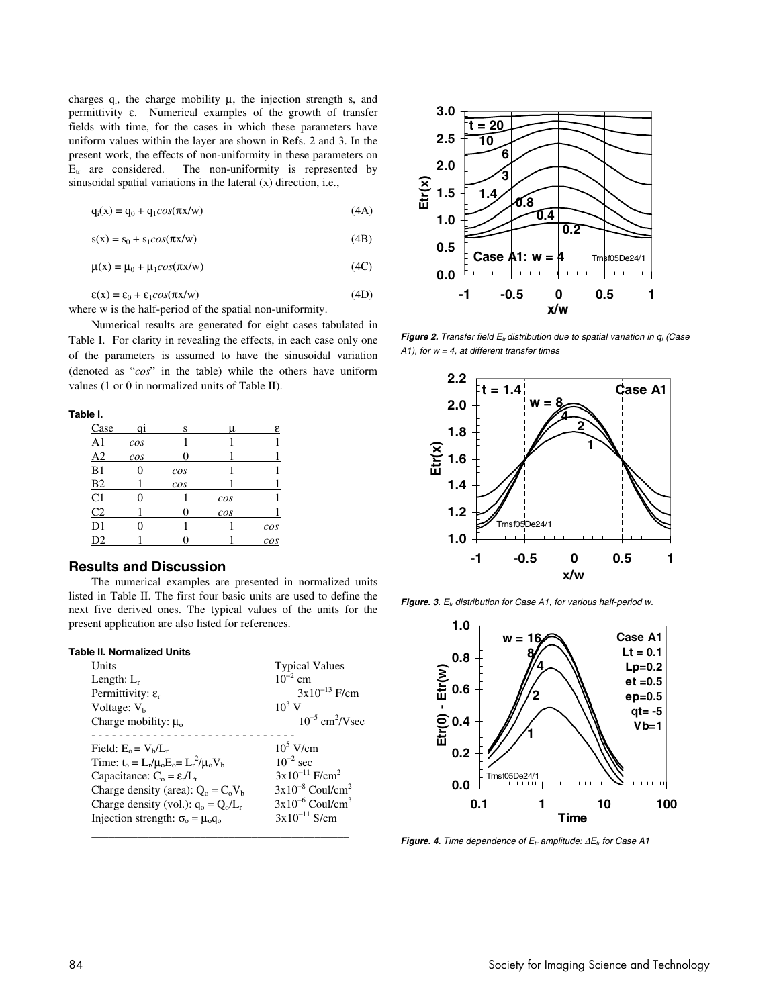charges  $q_i$ , the charge mobility  $\mu$ , the injection strength s, and permittivity ε. Numerical examples of the growth of transfer fields with time, for the cases in which these parameters have uniform values within the layer are shown in Refs. 2 and 3. In the present work, the effects of non-uniformity in these parameters on  $E_{tr}$  are considered. The non-uniformity is represented by sinusoidal spatial variations in the lateral (x) direction, i.e.,

$$
q_i(x) = q_0 + q_1 \cos(\pi x/w) \tag{4A}
$$

 $s(x) = s_0 + s_1 cos(\pi x/w)$  (4B)

$$
\mu(x) = \mu_0 + \mu_1 \cos(\pi x/w) \tag{4C}
$$

$$
\varepsilon(x) = \varepsilon_0 + \varepsilon_1 \cos(\pi x/w) \tag{4D}
$$

where w is the half-period of the spatial non-uniformity.

 Numerical results are generated for eight cases tabulated in Table I. For clarity in revealing the effects, in each case only one of the parameters is assumed to have the sinusoidal variation (denoted as "*cos*" in the table) while the others have uniform values (1 or 0 in normalized units of Table II).

**Table I.** 

| Case           |     | S   | u   | ε   |
|----------------|-----|-----|-----|-----|
| A <sub>1</sub> | cos |     |     |     |
| A2             | cos |     |     |     |
| B1             | 0   | cos |     |     |
| <b>B2</b>      |     | cos |     |     |
| C <sub>1</sub> |     |     | cos |     |
| C <sub>2</sub> |     |     | cos |     |
| D1             |     |     |     | cos |
| D2             |     |     |     | cos |

### **Results and Discussion**

The numerical examples are presented in normalized units listed in Table II. The first four basic units are used to define the next five derived ones. The typical values of the units for the present application are also listed for references.

#### **Table II. Normalized Units**

| Units                                             | <b>Typical Values</b>            |
|---------------------------------------------------|----------------------------------|
| Length: $L_r$                                     | $10^{-2}$ cm                     |
| Permittivity: $\varepsilon_r$                     | $3x10^{-13}$ F/cm                |
| Voltage: $Vh$                                     | $10^3$ V                         |
| Charge mobility: $\mu_0$                          | $10^{-5}$ cm <sup>2</sup> /V sec |
|                                                   |                                  |
| Field: $E_0 = V_b/L_r$                            | $10^5$ V/cm                      |
| Time: $t_0 = L_r / \mu_0 E_0 = L_r^2 / \mu_0 V_b$ | $10^{-2}$ sec                    |
| Capacitance: $C_0 = \varepsilon_r / L_r$          | $3x10^{-11}$ F/cm <sup>2</sup>   |
| Charge density (area): $Q_0 = C_0 V_h$            | $3x10^{-8}$ Coul/cm <sup>2</sup> |
| Charge density (vol.): $q_0 = Q_0/L_r$            | $3x10^{-6}$ Coul/cm <sup>3</sup> |
| Injection strength: $\sigma_0 = \mu_0 q_0$        | $3x10^{-11}$ S/cm                |



**Figure 2.** Transfer field  $E_{tr}$ distribution due to spatial variation in  $q_i$  (Case A1), for  $w = 4$ , at different transfer times



Figure. 3. E<sub>tr</sub> distribution for Case A1, for various half-period w.



**Figure. 4.** Time dependence of  $E_t$  amplitude:  $\Delta E_t$  for Case A1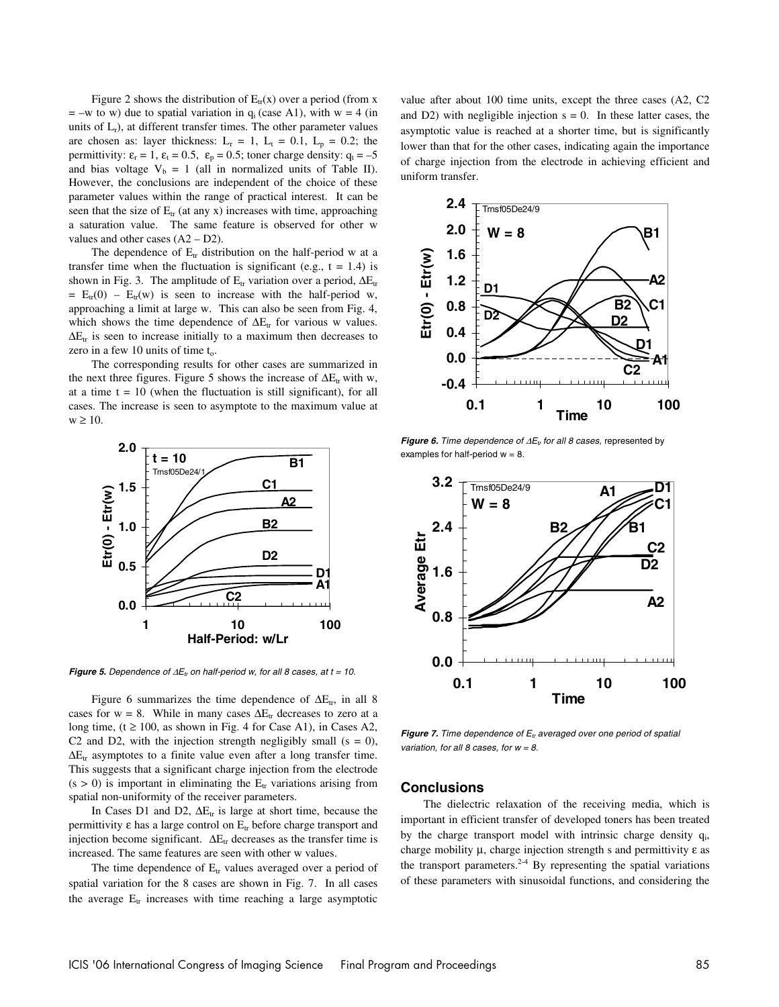Figure 2 shows the distribution of  $E_{tr}(x)$  over a period (from x  $= -w$  to w) due to spatial variation in  $q_i$  (case A1), with  $w = 4$  (in units of  $L_r$ ), at different transfer times. The other parameter values are chosen as: layer thickness:  $L_r = 1$ ,  $L_t = 0.1$ ,  $L_p = 0.2$ ; the permittivity:  $\varepsilon_r = 1$ ,  $\varepsilon_t = 0.5$ ,  $\varepsilon_p = 0.5$ ; toner charge density:  $q_t = -5$ and bias voltage  $V_b = 1$  (all in normalized units of Table II). However, the conclusions are independent of the choice of these parameter values within the range of practical interest. It can be seen that the size of  $E_{tr}$  (at any x) increases with time, approaching a saturation value. The same feature is observed for other w values and other cases (A2 – D2).

The dependence of  $E_{tr}$  distribution on the half-period w at a transfer time when the fluctuation is significant (e.g.,  $t = 1.4$ ) is shown in Fig. 3. The amplitude of  $E_{tr}$  variation over a period,  $\Delta E_{tr}$  $= E_{tr}(0) - E_{tr}(w)$  is seen to increase with the half-period w, approaching a limit at large w. This can also be seen from Fig. 4, which shows the time dependence of  $\Delta E_{tr}$  for various w values.  $\Delta E_{tr}$  is seen to increase initially to a maximum then decreases to zero in a few 10 units of time  $t_0$ .

The corresponding results for other cases are summarized in the next three figures. Figure 5 shows the increase of  $\Delta E_{tr}$  with w, at a time  $t = 10$  (when the fluctuation is still significant), for all cases. The increase is seen to asymptote to the maximum value at  $w \geq 10$ .



**Figure 5.** Dependence of  $\Delta E_t$  on half-period w, for all 8 cases, at t = 10.

Figure 6 summarizes the time dependence of  $\Delta E_{tr}$ , in all 8 cases for w = 8. While in many cases  $\Delta E_{tr}$  decreases to zero at a long time,  $(t \ge 100$ , as shown in Fig. 4 for Case A1), in Cases A2, C2 and D2, with the injection strength negligibly small  $(s = 0)$ ,  $\Delta E_{tr}$  asymptotes to a finite value even after a long transfer time. This suggests that a significant charge injection from the electrode  $(s > 0)$  is important in eliminating the  $E_{tr}$  variations arising from spatial non-uniformity of the receiver parameters.

In Cases D1 and D2,  $\Delta E_{tr}$  is large at short time, because the permittivity  $\varepsilon$  has a large control on  $E_{tr}$  before charge transport and injection become significant.  $\Delta E_{tr}$  decreases as the transfer time is increased. The same features are seen with other w values.

The time dependence of  $E_{tr}$  values averaged over a period of spatial variation for the 8 cases are shown in Fig. 7.In all cases the average  $E_{tr}$  increases with time reaching a large asymptotic value after about 100 time units, except the three cases (A2, C2 and D2) with negligible injection  $s = 0$ . In these latter cases, the asymptotic value is reached at a shorter time, but is significantly lower than that for the other cases, indicating again the importance of charge injection from the electrode in achieving efficient and uniform transfer.



**Figure 6.** Time dependence of ∆E<sub>tr</sub> for all 8 cases, represented by examples for half-period  $w = 8$ .



**Figure 7.** Time dependence of  $E_t$  averaged over one period of spatial variation, for all 8 cases, for  $w = 8$ .

#### **Conclusions**

The dielectric relaxation of the receiving media, which is important in efficient transfer of developed toners has been treated by the charge transport model with intrinsic charge density qi, charge mobility  $\mu$ , charge injection strength s and permittivity  $\varepsilon$  as the transport parameters. $2-4$  By representing the spatial variations of these parameters with sinusoidal functions, and considering the